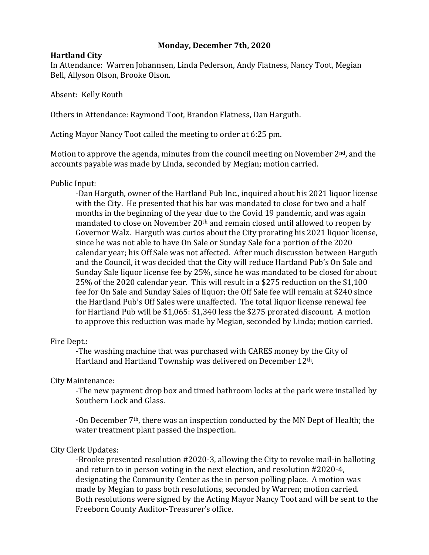## **Monday, December 7th, 2020**

## **Hartland City**

In Attendance: Warren Johannsen, Linda Pederson, Andy Flatness, Nancy Toot, Megian Bell, Allyson Olson, Brooke Olson.

Absent: Kelly Routh

Others in Attendance: Raymond Toot, Brandon Flatness, Dan Harguth.

Acting Mayor Nancy Toot called the meeting to order at 6:25 pm.

Motion to approve the agenda, minutes from the council meeting on November  $2<sup>nd</sup>$ , and the accounts payable was made by Linda, seconded by Megian; motion carried.

## Public Input:

-Dan Harguth, owner of the Hartland Pub Inc., inquired about his 2021 liquor license with the City. He presented that his bar was mandated to close for two and a half months in the beginning of the year due to the Covid 19 pandemic, and was again mandated to close on November 20th and remain closed until allowed to reopen by Governor Walz. Harguth was curios about the City prorating his 2021 liquor license, since he was not able to have On Sale or Sunday Sale for a portion of the 2020 calendar year; his Off Sale was not affected. After much discussion between Harguth and the Council, it was decided that the City will reduce Hartland Pub's On Sale and Sunday Sale liquor license fee by 25%, since he was mandated to be closed for about 25% of the 2020 calendar year. This will result in a \$275 reduction on the \$1,100 fee for On Sale and Sunday Sales of liquor; the Off Sale fee will remain at \$240 since the Hartland Pub's Off Sales were unaffected. The total liquor license renewal fee for Hartland Pub will be \$1,065: \$1,340 less the \$275 prorated discount. A motion to approve this reduction was made by Megian, seconded by Linda; motion carried.

#### Fire Dept.:

-The washing machine that was purchased with CARES money by the City of Hartland and Hartland Township was delivered on December 12th.

# City Maintenance:

-The new payment drop box and timed bathroom locks at the park were installed by Southern Lock and Glass.

-On December 7th, there was an inspection conducted by the MN Dept of Health; the water treatment plant passed the inspection.

# City Clerk Updates:

-Brooke presented resolution #2020-3, allowing the City to revoke mail-in balloting and return to in person voting in the next election, and resolution #2020-4, designating the Community Center as the in person polling place. A motion was made by Megian to pass both resolutions, seconded by Warren; motion carried. Both resolutions were signed by the Acting Mayor Nancy Toot and will be sent to the Freeborn County Auditor-Treasurer's office.